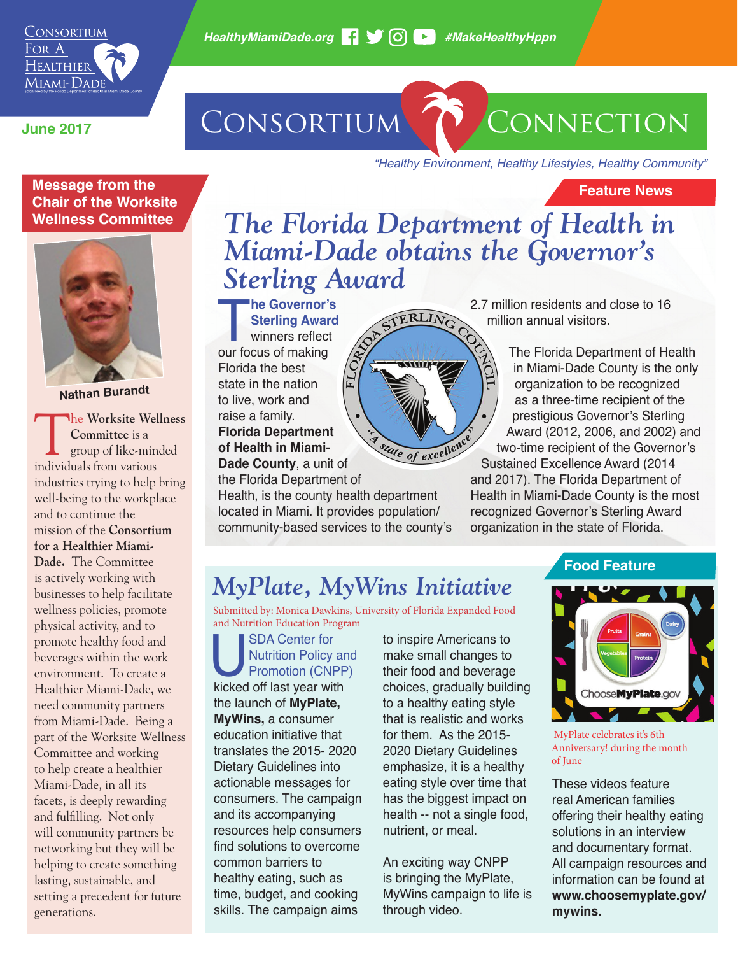# **June 2017** CONSORTIUM CONNECTION

**Feature News**

*"Healthy Environment, Healthy Lifestyles, Healthy Community"*

#### **Message from the Chair of the Worksite Wellness Committee**



**Nathan Burandt**

The **Worksite Wellness Committee** is a group of like-minded individuals from various industries trying to help bring well-being to the workplace and to continue the mission of the **Consortium for a Healthier Miami-Dade.** The Committee is actively working with businesses to help facilitate wellness policies, promote physical activity, and to promote healthy food and beverages within the work environment. To create a Healthier Miami-Dade, we need community partners from Miami-Dade. Being a part of the Worksite Wellness Committee and working to help create a healthier Miami-Dade, in all its facets, is deeply rewarding and fulfilling. Not only will community partners be networking but they will be helping to create something lasting, sustainable, and setting a precedent for future generations.

### *The Florida Department of Health in Miami-Dade obtains the Governor's Sterling Award*

TERLING

**WWI/47** 

**The Governor's Sterling Award Winners reflect our focus of making Sterling Award** winners reflect Florida the best state in the nation to live, work and raise a family. **Florida Department of Health in Miami-**

**Dade County**, a unit of the Florida Department of

Health, is the county health department located in Miami. It provides population/ community-based services to the county's

EL

2.7 million residents and close to 16 million annual visitors.

> The Florida Department of Health in Miami-Dade County is the only organization to be recognized as a three-time recipient of the prestigious Governor's Sterling Award (2012, 2006, and 2002) and two-time recipient of the Governor's

tate of excellence Sustained Excellence Award (2014 and 2017). The Florida Department of Health in Miami-Dade County is the most recognized Governor's Sterling Award organization in the state of Florida.

# *MyPlate, MyWins Initiative*

Submitted by: Monica Dawkins, University of Florida Expanded Food and Nutrition Education Program

SDA Center for<br>
Nutrition Policy ar<br>
Promotion (CNPP<br>
kicked off last year with Nutrition Policy and Promotion (CNPP) the launch of **MyPlate, MyWins,** a consumer education initiative that translates the 2015- 2020 Dietary Guidelines into actionable messages for consumers. The campaign and its accompanying resources help consumers find solutions to overcome common barriers to healthy eating, such as time, budget, and cooking skills. The campaign aims

to inspire Americans to make small changes to their food and beverage choices, gradually building to a healthy eating style that is realistic and works for them. As the 2015- 2020 Dietary Guidelines emphasize, it is a healthy eating style over time that has the biggest impact on health -- not a single food, nutrient, or meal.

An exciting way CNPP is bringing the MyPlate, MyWins campaign to life is through video.

### **Food Feature**



 MyPlate celebrates it's 6th Anniversary! during the month of June

These videos feature real American families offering their healthy eating solutions in an interview and documentary format. All campaign resources and information can be found at **www.choosemyplate.gov/ mywins.**